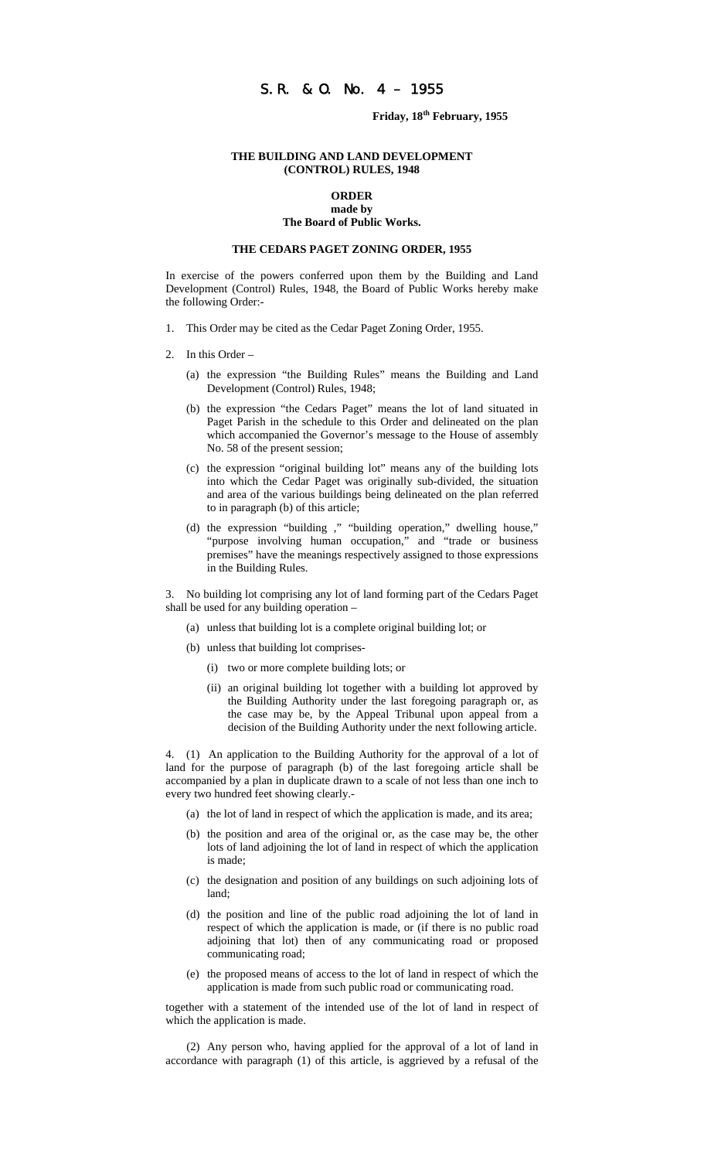## S.R. & O. No. 4 – 1955

# **Friday, 18th February, 1955**

#### **THE BUILDING AND LAND DEVELOPMENT (CONTROL) RULES, 1948**

#### **ORDER made by**

# **The Board of Public Works.**

## **THE CEDARS PAGET ZONING ORDER, 1955**

In exercise of the powers conferred upon them by the Building and Land Development (Control) Rules, 1948, the Board of Public Works hereby make the following Order:-

- 1. This Order may be cited as the Cedar Paget Zoning Order, 1955.
- 2. In this Order
	- (a) the expression "the Building Rules" means the Building and Land Development (Control) Rules, 1948;
	- (b) the expression "the Cedars Paget" means the lot of land situated in Paget Parish in the schedule to this Order and delineated on the plan which accompanied the Governor's message to the House of assembly No. 58 of the present session;
	- (c) the expression "original building lot" means any of the building lots into which the Cedar Paget was originally sub-divided, the situation and area of the various buildings being delineated on the plan referred to in paragraph (b) of this article;
	- (d) the expression "building ," "building operation," dwelling house," "purpose involving human occupation," and "trade or business premises" have the meanings respectively assigned to those expressions in the Building Rules.

3. No building lot comprising any lot of land forming part of the Cedars Paget shall be used for any building operation –

- (a) unless that building lot is a complete original building lot; or
- (b) unless that building lot comprises-
	- (i) two or more complete building lots; or
	- (ii) an original building lot together with a building lot approved by the Building Authority under the last foregoing paragraph or, as the case may be, by the Appeal Tribunal upon appeal from a decision of the Building Authority under the next following article.

4. (1) An application to the Building Authority for the approval of a lot of land for the purpose of paragraph (b) of the last foregoing article shall be accompanied by a plan in duplicate drawn to a scale of not less than one inch to every two hundred feet showing clearly.-

- (a) the lot of land in respect of which the application is made, and its area;
- (b) the position and area of the original or, as the case may be, the other lots of land adjoining the lot of land in respect of which the application is made;
- (c) the designation and position of any buildings on such adjoining lots of land;
- (d) the position and line of the public road adjoining the lot of land in respect of which the application is made, or (if there is no public road adjoining that lot) then of any communicating road or proposed communicating road;
- (e) the proposed means of access to the lot of land in respect of which the application is made from such public road or communicating road.

together with a statement of the intended use of the lot of land in respect of which the application is made.

(2) Any person who, having applied for the approval of a lot of land in accordance with paragraph (1) of this article, is aggrieved by a refusal of the